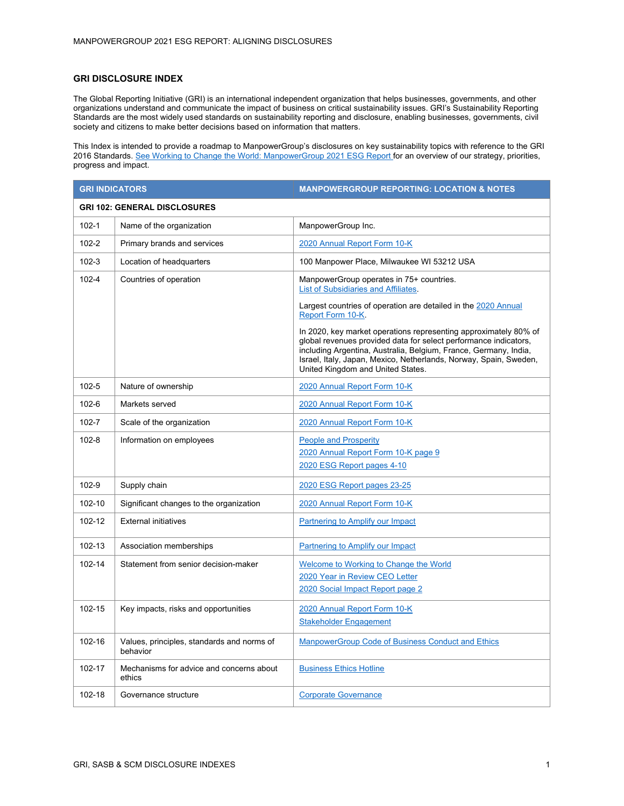## **GRI DISCLOSURE INDEX**

The Global Reporting Initiative (GRI) is an international independent organization that helps businesses, governments, and other organizations understand and communicate the impact of business on critical sustainability issues. GRI's Sustainability Reporting Standards are the most widely used standards on sustainability reporting and disclosure, enabling businesses, governments, civil society and citizens to make better decisions based on information that matters.

This Index is intended to provide a roadmap to ManpowerGroup's disclosures on key sustainability topics with reference to the GRI 2016 Standards. [See Working to Change the World: ManpowerGroup 2021 ESG Report f](https://library.manpowergroup.eu/story/working-to-change-the-world-2021/page/1)or an overview of our strategy, priorities, progress and impact.

| <b>GRI INDICATORS</b>               |                                                        | <b>MANPOWERGROUP REPORTING: LOCATION &amp; NOTES</b>                                                                                                                                                                                                                                                               |  |
|-------------------------------------|--------------------------------------------------------|--------------------------------------------------------------------------------------------------------------------------------------------------------------------------------------------------------------------------------------------------------------------------------------------------------------------|--|
| <b>GRI 102: GENERAL DISCLOSURES</b> |                                                        |                                                                                                                                                                                                                                                                                                                    |  |
| $102 - 1$                           | Name of the organization                               | ManpowerGroup Inc.                                                                                                                                                                                                                                                                                                 |  |
| $102 - 2$                           | Primary brands and services                            | 2020 Annual Report Form 10-K                                                                                                                                                                                                                                                                                       |  |
| $102 - 3$                           | Location of headquarters                               | 100 Manpower Place, Milwaukee WI 53212 USA                                                                                                                                                                                                                                                                         |  |
| $102 - 4$                           | Countries of operation                                 | ManpowerGroup operates in 75+ countries.<br><b>List of Subsidiaries and Affiliates.</b>                                                                                                                                                                                                                            |  |
|                                     |                                                        | Largest countries of operation are detailed in the 2020 Annual<br>Report Form 10-K                                                                                                                                                                                                                                 |  |
|                                     |                                                        | In 2020, key market operations representing approximately 80% of<br>global revenues provided data for select performance indicators,<br>including Argentina, Australia, Belgium, France, Germany, India,<br>Israel, Italy, Japan, Mexico, Netherlands, Norway, Spain, Sweden,<br>United Kingdom and United States. |  |
| $102 - 5$                           | Nature of ownership                                    | 2020 Annual Report Form 10-K                                                                                                                                                                                                                                                                                       |  |
| $102 - 6$                           | Markets served                                         | 2020 Annual Report Form 10-K                                                                                                                                                                                                                                                                                       |  |
| $102 - 7$                           | Scale of the organization                              | 2020 Annual Report Form 10-K                                                                                                                                                                                                                                                                                       |  |
| $102 - 8$                           | Information on employees                               | <b>People and Prosperity</b>                                                                                                                                                                                                                                                                                       |  |
|                                     |                                                        | 2020 Annual Report Form 10-K page 9<br>2020 ESG Report pages 4-10                                                                                                                                                                                                                                                  |  |
| 102-9                               | Supply chain                                           | 2020 ESG Report pages 23-25                                                                                                                                                                                                                                                                                        |  |
| $102 - 10$                          | Significant changes to the organization                | 2020 Annual Report Form 10-K                                                                                                                                                                                                                                                                                       |  |
| 102-12                              | <b>External initiatives</b>                            | Partnering to Amplify our Impact                                                                                                                                                                                                                                                                                   |  |
| 102-13                              | Association memberships                                | Partnering to Amplify our Impact                                                                                                                                                                                                                                                                                   |  |
| 102-14                              | Statement from senior decision-maker                   | Welcome to Working to Change the World                                                                                                                                                                                                                                                                             |  |
|                                     |                                                        | 2020 Year in Review CEO Letter<br>2020 Social Impact Report page 2                                                                                                                                                                                                                                                 |  |
| 102-15                              | Key impacts, risks and opportunities                   | 2020 Annual Report Form 10-K<br><b>Stakeholder Engagement</b>                                                                                                                                                                                                                                                      |  |
| 102-16                              | Values, principles, standards and norms of<br>behavior | ManpowerGroup Code of Business Conduct and Ethics                                                                                                                                                                                                                                                                  |  |
| 102-17                              | Mechanisms for advice and concerns about<br>ethics     | <b>Business Ethics Hotline</b>                                                                                                                                                                                                                                                                                     |  |
| 102-18                              | Governance structure                                   | <b>Corporate Governance</b>                                                                                                                                                                                                                                                                                        |  |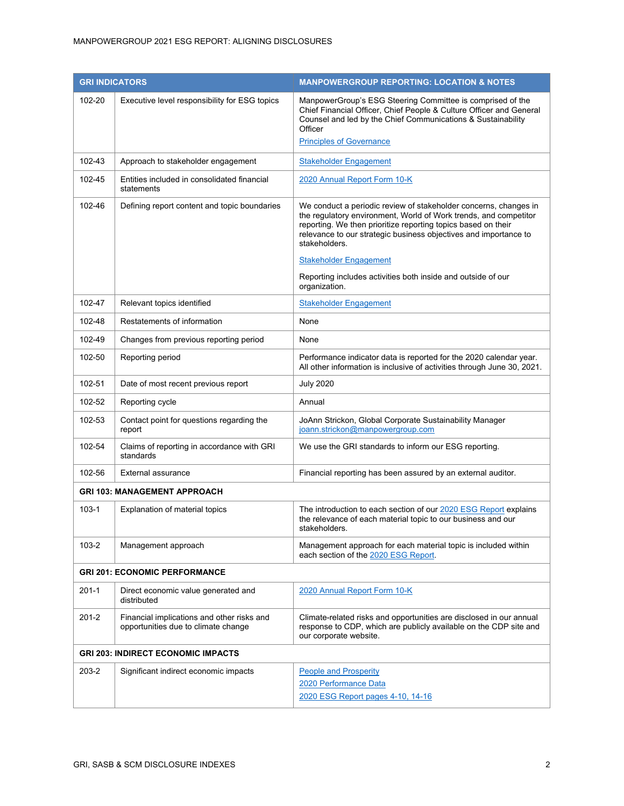|                                     | <b>GRI INDICATORS</b>                                                             | <b>MANPOWERGROUP REPORTING: LOCATION &amp; NOTES</b>                                                                                                                                                                                                                                       |
|-------------------------------------|-----------------------------------------------------------------------------------|--------------------------------------------------------------------------------------------------------------------------------------------------------------------------------------------------------------------------------------------------------------------------------------------|
| 102-20                              | Executive level responsibility for ESG topics                                     | ManpowerGroup's ESG Steering Committee is comprised of the<br>Chief Financial Officer, Chief People & Culture Officer and General<br>Counsel and led by the Chief Communications & Sustainability<br>Officer                                                                               |
|                                     |                                                                                   | <b>Principles of Governance</b>                                                                                                                                                                                                                                                            |
| 102-43                              | Approach to stakeholder engagement                                                | <b>Stakeholder Engagement</b>                                                                                                                                                                                                                                                              |
| 102-45                              | Entities included in consolidated financial<br>statements                         | 2020 Annual Report Form 10-K                                                                                                                                                                                                                                                               |
| 102-46                              | Defining report content and topic boundaries                                      | We conduct a periodic review of stakeholder concerns, changes in<br>the regulatory environment, World of Work trends, and competitor<br>reporting. We then prioritize reporting topics based on their<br>relevance to our strategic business objectives and importance to<br>stakeholders. |
|                                     |                                                                                   | <b>Stakeholder Engagement</b>                                                                                                                                                                                                                                                              |
|                                     |                                                                                   | Reporting includes activities both inside and outside of our<br>organization.                                                                                                                                                                                                              |
| 102-47                              | Relevant topics identified                                                        | <b>Stakeholder Engagement</b>                                                                                                                                                                                                                                                              |
| 102-48                              | Restatements of information                                                       | None                                                                                                                                                                                                                                                                                       |
| 102-49                              | Changes from previous reporting period                                            | None                                                                                                                                                                                                                                                                                       |
| 102-50                              | Reporting period                                                                  | Performance indicator data is reported for the 2020 calendar year.<br>All other information is inclusive of activities through June 30, 2021.                                                                                                                                              |
| 102-51                              | Date of most recent previous report                                               | <b>July 2020</b>                                                                                                                                                                                                                                                                           |
| 102-52                              | Reporting cycle                                                                   | Annual                                                                                                                                                                                                                                                                                     |
| 102-53                              | Contact point for questions regarding the<br>report                               | JoAnn Strickon, Global Corporate Sustainability Manager<br>joann.strickon@manpowergroup.com                                                                                                                                                                                                |
| 102-54                              | Claims of reporting in accordance with GRI<br>standards                           | We use the GRI standards to inform our ESG reporting.                                                                                                                                                                                                                                      |
| 102-56                              | External assurance                                                                | Financial reporting has been assured by an external auditor.                                                                                                                                                                                                                               |
| <b>GRI 103: MANAGEMENT APPROACH</b> |                                                                                   |                                                                                                                                                                                                                                                                                            |
| $103 - 1$                           | Explanation of material topics                                                    | The introduction to each section of our 2020 ESG Report explains<br>the relevance of each material topic to our business and our<br>stakeholders.                                                                                                                                          |
| $103 - 2$                           | Management approach                                                               | Management approach for each material topic is included within<br>each section of the 2020 ESG Report.                                                                                                                                                                                     |
|                                     | <b>GRI 201: ECONOMIC PERFORMANCE</b>                                              |                                                                                                                                                                                                                                                                                            |
| $201 - 1$                           | Direct economic value generated and<br>distributed                                | 2020 Annual Report Form 10-K                                                                                                                                                                                                                                                               |
| $201 - 2$                           | Financial implications and other risks and<br>opportunities due to climate change | Climate-related risks and opportunities are disclosed in our annual<br>response to CDP, which are publicly available on the CDP site and<br>our corporate website.                                                                                                                         |
|                                     | <b>GRI 203: INDIRECT ECONOMIC IMPACTS</b>                                         |                                                                                                                                                                                                                                                                                            |
| 203-2                               | Significant indirect economic impacts                                             | <b>People and Prosperity</b><br>2020 Performance Data<br>2020 ESG Report pages 4-10, 14-16                                                                                                                                                                                                 |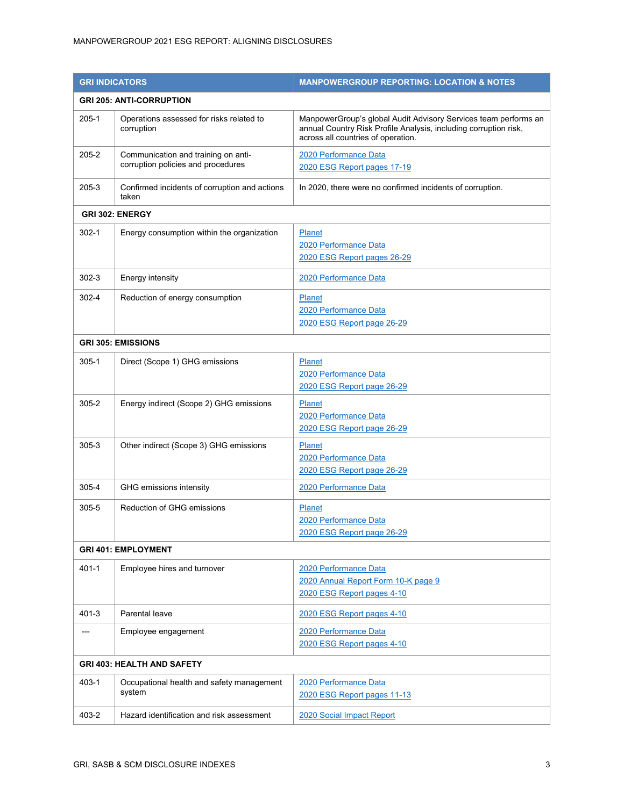| <b>GRI INDICATORS</b>           |                                                                           | <b>MANPOWERGROUP REPORTING: LOCATION &amp; NOTES</b>                                                                                                                      |  |
|---------------------------------|---------------------------------------------------------------------------|---------------------------------------------------------------------------------------------------------------------------------------------------------------------------|--|
| <b>GRI 205: ANTI-CORRUPTION</b> |                                                                           |                                                                                                                                                                           |  |
| $205 - 1$                       | Operations assessed for risks related to<br>corruption                    | ManpowerGroup's global Audit Advisory Services team performs an<br>annual Country Risk Profile Analysis, including corruption risk,<br>across all countries of operation. |  |
| $205 - 2$                       | Communication and training on anti-<br>corruption policies and procedures | 2020 Performance Data<br>2020 ESG Report pages 17-19                                                                                                                      |  |
| 205-3                           | Confirmed incidents of corruption and actions<br>taken                    | In 2020, there were no confirmed incidents of corruption.                                                                                                                 |  |
|                                 | GRI 302: ENERGY                                                           |                                                                                                                                                                           |  |
| $302 - 1$                       | Energy consumption within the organization                                | <b>Planet</b><br>2020 Performance Data<br>2020 ESG Report pages 26-29                                                                                                     |  |
| $302 - 3$                       | Energy intensity                                                          | 2020 Performance Data                                                                                                                                                     |  |
| 302-4                           | Reduction of energy consumption                                           | <b>Planet</b><br>2020 Performance Data<br>2020 ESG Report page 26-29                                                                                                      |  |
| <b>GRI 305: EMISSIONS</b>       |                                                                           |                                                                                                                                                                           |  |
| $305 - 1$                       | Direct (Scope 1) GHG emissions                                            | <b>Planet</b><br>2020 Performance Data<br>2020 ESG Report page 26-29                                                                                                      |  |
| $305 - 2$                       | Energy indirect (Scope 2) GHG emissions                                   | <b>Planet</b><br>2020 Performance Data<br>2020 ESG Report page 26-29                                                                                                      |  |
| $305 - 3$                       | Other indirect (Scope 3) GHG emissions                                    | <b>Planet</b><br>2020 Performance Data<br>2020 ESG Report page 26-29                                                                                                      |  |
| 305-4                           | GHG emissions intensity                                                   | 2020 Performance Data                                                                                                                                                     |  |
| 305-5                           | Reduction of GHG emissions                                                | <b>Planet</b><br>2020 Performance Data<br>2020 ESG Report page 26-29                                                                                                      |  |
| <b>GRI 401: EMPLOYMENT</b>      |                                                                           |                                                                                                                                                                           |  |
| $401 - 1$                       | Employee hires and turnover                                               | 2020 Performance Data<br>2020 Annual Report Form 10-K page 9<br>2020 ESG Report pages 4-10                                                                                |  |
| $401 - 3$                       | Parental leave                                                            | 2020 ESG Report pages 4-10                                                                                                                                                |  |
|                                 | Employee engagement                                                       | 2020 Performance Data<br>2020 ESG Report pages 4-10                                                                                                                       |  |
|                                 | <b>GRI 403: HEALTH AND SAFETY</b>                                         |                                                                                                                                                                           |  |
| $403 - 1$                       | Occupational health and safety management<br>system                       | 2020 Performance Data<br>2020 ESG Report pages 11-13                                                                                                                      |  |
| 403-2                           | Hazard identification and risk assessment                                 | 2020 Social Impact Report                                                                                                                                                 |  |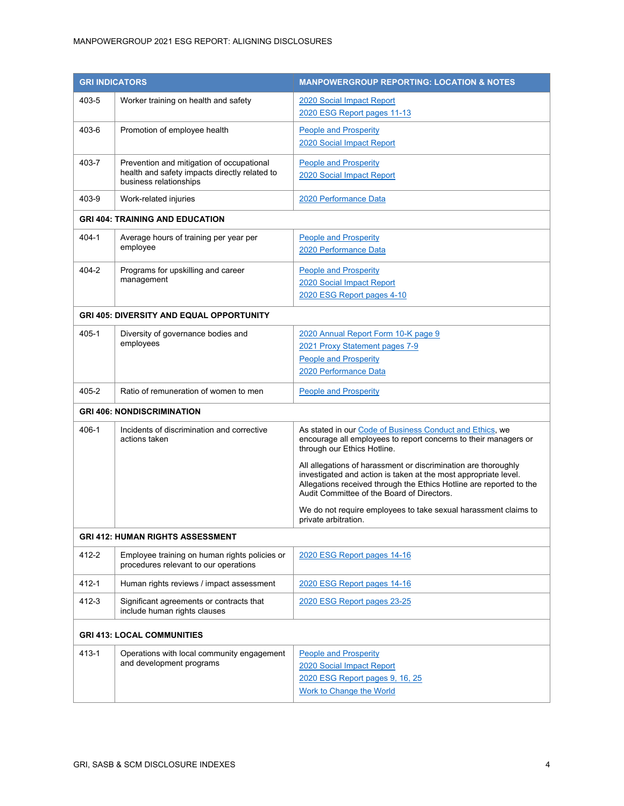## MANPOWERGROUP 2021 ESG REPORT: ALIGNING DISCLOSURES

| <b>GRI INDICATORS</b>                   |                                                                                                                      | <b>MANPOWERGROUP REPORTING: LOCATION &amp; NOTES</b>                                                                                                                                                                                                   |  |
|-----------------------------------------|----------------------------------------------------------------------------------------------------------------------|--------------------------------------------------------------------------------------------------------------------------------------------------------------------------------------------------------------------------------------------------------|--|
| 403-5                                   | Worker training on health and safety                                                                                 | 2020 Social Impact Report<br>2020 ESG Report pages 11-13                                                                                                                                                                                               |  |
| 403-6                                   | Promotion of employee health                                                                                         | <b>People and Prosperity</b><br>2020 Social Impact Report                                                                                                                                                                                              |  |
| 403-7                                   | Prevention and mitigation of occupational<br>health and safety impacts directly related to<br>business relationships | <b>People and Prosperity</b><br>2020 Social Impact Report                                                                                                                                                                                              |  |
| 403-9                                   | Work-related injuries                                                                                                | 2020 Performance Data                                                                                                                                                                                                                                  |  |
|                                         | <b>GRI 404: TRAINING AND EDUCATION</b>                                                                               |                                                                                                                                                                                                                                                        |  |
| 404-1                                   | Average hours of training per year per<br>employee                                                                   | <b>People and Prosperity</b><br>2020 Performance Data                                                                                                                                                                                                  |  |
| $404 - 2$                               | Programs for upskilling and career<br>management                                                                     | <b>People and Prosperity</b><br>2020 Social Impact Report<br>2020 ESG Report pages 4-10                                                                                                                                                                |  |
|                                         | <b>GRI 405: DIVERSITY AND EQUAL OPPORTUNITY</b>                                                                      |                                                                                                                                                                                                                                                        |  |
| 405-1                                   | Diversity of governance bodies and<br>employees                                                                      | 2020 Annual Report Form 10-K page 9<br>2021 Proxy Statement pages 7-9<br><b>People and Prosperity</b><br>2020 Performance Data                                                                                                                         |  |
| 405-2                                   | Ratio of remuneration of women to men                                                                                | <b>People and Prosperity</b>                                                                                                                                                                                                                           |  |
| <b>GRI 406: NONDISCRIMINATION</b>       |                                                                                                                      |                                                                                                                                                                                                                                                        |  |
| 406-1                                   | Incidents of discrimination and corrective<br>actions taken                                                          | As stated in our Code of Business Conduct and Ethics, we<br>encourage all employees to report concerns to their managers or<br>through our Ethics Hotline.                                                                                             |  |
|                                         |                                                                                                                      | All allegations of harassment or discrimination are thoroughly<br>investigated and action is taken at the most appropriate level.<br>Allegations received through the Ethics Hotline are reported to the<br>Audit Committee of the Board of Directors. |  |
|                                         |                                                                                                                      | We do not require employees to take sexual harassment claims to<br>private arbitration.                                                                                                                                                                |  |
| <b>GRI 412: HUMAN RIGHTS ASSESSMENT</b> |                                                                                                                      |                                                                                                                                                                                                                                                        |  |
| 412-2                                   | Employee training on human rights policies or<br>procedures relevant to our operations                               | 2020 ESG Report pages 14-16                                                                                                                                                                                                                            |  |
| $412 - 1$                               | Human rights reviews / impact assessment                                                                             | 2020 ESG Report pages 14-16                                                                                                                                                                                                                            |  |
| 412-3                                   | Significant agreements or contracts that<br>include human rights clauses                                             | 2020 ESG Report pages 23-25                                                                                                                                                                                                                            |  |
|                                         | <b>GRI 413: LOCAL COMMUNITIES</b>                                                                                    |                                                                                                                                                                                                                                                        |  |
| $413 - 1$                               | Operations with local community engagement<br>and development programs                                               | <b>People and Prosperity</b><br>2020 Social Impact Report<br>2020 ESG Report pages 9, 16, 25<br>Work to Change the World                                                                                                                               |  |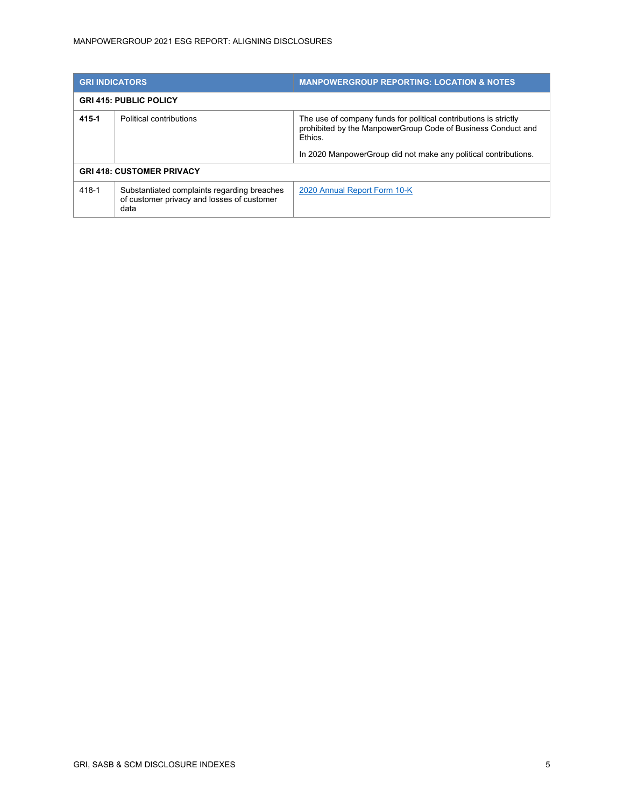| <b>GRI INDICATORS</b>            |                                                                                                   | <b>MANPOWERGROUP REPORTING: LOCATION &amp; NOTES</b>                                                                                                                                                                  |
|----------------------------------|---------------------------------------------------------------------------------------------------|-----------------------------------------------------------------------------------------------------------------------------------------------------------------------------------------------------------------------|
| <b>GRI 415: PUBLIC POLICY</b>    |                                                                                                   |                                                                                                                                                                                                                       |
| 415-1                            | Political contributions                                                                           | The use of company funds for political contributions is strictly<br>prohibited by the ManpowerGroup Code of Business Conduct and<br><b>Fthics</b><br>In 2020 Manpower Group did not make any political contributions. |
| <b>GRI 418: CUSTOMER PRIVACY</b> |                                                                                                   |                                                                                                                                                                                                                       |
| 418-1                            | Substantiated complaints regarding breaches<br>of customer privacy and losses of customer<br>data | 2020 Annual Report Form 10-K                                                                                                                                                                                          |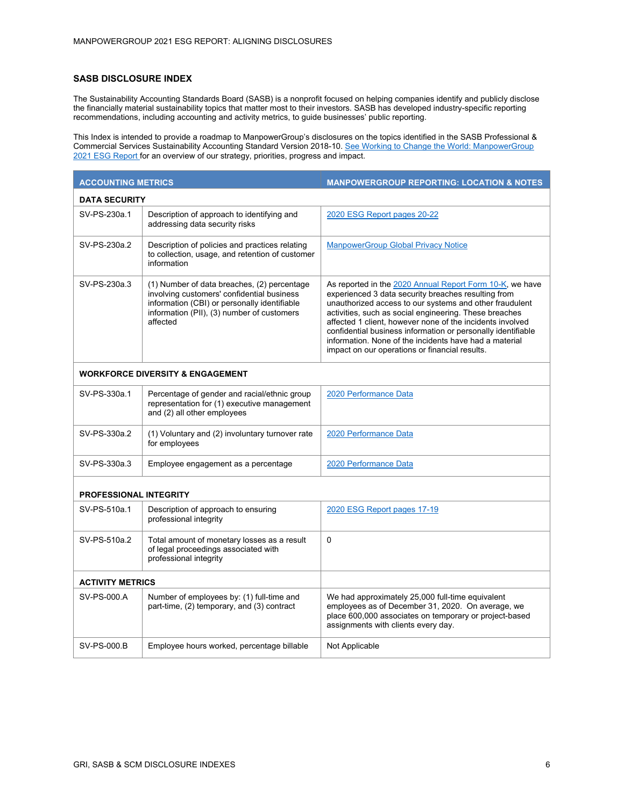## **SASB DISCLOSURE INDEX**

The Sustainability Accounting Standards Board (SASB) is a nonprofit focused on helping companies identify and publicly disclose the financially material sustainability topics that matter most to their investors. SASB has developed industry-specific reporting recommendations, including accounting and activity metrics, to guide businesses' public reporting.

This Index is intended to provide a roadmap to ManpowerGroup's disclosures on the topics identified in the SASB Professional & Commercial Services Sustainability Accounting Standard Version 2018-10. <u>See Working to Change the World: ManpowerGroup</u> [2021 ESG Report fo](https://library.manpowergroup.eu/story/working-to-change-the-world-2021/page/1)r an overview of our strategy, priorities, progress and impact.

| <b>ACCOUNTING METRICS</b>                   |                                                                                                                                                                                                     | <b>MANPOWERGROUP REPORTING: LOCATION &amp; NOTES</b>                                                                                                                                                                                                                                                                                                                                                                                                                          |  |
|---------------------------------------------|-----------------------------------------------------------------------------------------------------------------------------------------------------------------------------------------------------|-------------------------------------------------------------------------------------------------------------------------------------------------------------------------------------------------------------------------------------------------------------------------------------------------------------------------------------------------------------------------------------------------------------------------------------------------------------------------------|--|
| <b>DATA SECURITY</b>                        |                                                                                                                                                                                                     |                                                                                                                                                                                                                                                                                                                                                                                                                                                                               |  |
| SV-PS-230a.1                                | Description of approach to identifying and<br>addressing data security risks                                                                                                                        | 2020 ESG Report pages 20-22                                                                                                                                                                                                                                                                                                                                                                                                                                                   |  |
| SV-PS-230a.2                                | Description of policies and practices relating<br>to collection, usage, and retention of customer<br>information                                                                                    | <b>ManpowerGroup Global Privacy Notice</b>                                                                                                                                                                                                                                                                                                                                                                                                                                    |  |
| SV-PS-230a.3                                | (1) Number of data breaches, (2) percentage<br>involving customers' confidential business<br>information (CBI) or personally identifiable<br>information (PII), (3) number of customers<br>affected | As reported in the 2020 Annual Report Form 10-K, we have<br>experienced 3 data security breaches resulting from<br>unauthorized access to our systems and other fraudulent<br>activities, such as social engineering. These breaches<br>affected 1 client, however none of the incidents involved<br>confidential business information or personally identifiable<br>information. None of the incidents have had a material<br>impact on our operations or financial results. |  |
| <b>WORKFORCE DIVERSITY &amp; ENGAGEMENT</b> |                                                                                                                                                                                                     |                                                                                                                                                                                                                                                                                                                                                                                                                                                                               |  |
| SV-PS-330a.1                                | Percentage of gender and racial/ethnic group<br>representation for (1) executive management<br>and (2) all other employees                                                                          | 2020 Performance Data                                                                                                                                                                                                                                                                                                                                                                                                                                                         |  |
| SV-PS-330a.2                                | (1) Voluntary and (2) involuntary turnover rate<br>for employees                                                                                                                                    | 2020 Performance Data                                                                                                                                                                                                                                                                                                                                                                                                                                                         |  |
| SV-PS-330a.3                                | Employee engagement as a percentage                                                                                                                                                                 | 2020 Performance Data                                                                                                                                                                                                                                                                                                                                                                                                                                                         |  |
| <b>PROFESSIONAL INTEGRITY</b>               |                                                                                                                                                                                                     |                                                                                                                                                                                                                                                                                                                                                                                                                                                                               |  |
| SV-PS-510a.1                                | Description of approach to ensuring<br>professional integrity                                                                                                                                       | 2020 ESG Report pages 17-19                                                                                                                                                                                                                                                                                                                                                                                                                                                   |  |
| SV-PS-510a.2                                | Total amount of monetary losses as a result<br>of legal proceedings associated with<br>professional integrity                                                                                       | $\Omega$                                                                                                                                                                                                                                                                                                                                                                                                                                                                      |  |
| <b>ACTIVITY METRICS</b>                     |                                                                                                                                                                                                     |                                                                                                                                                                                                                                                                                                                                                                                                                                                                               |  |
| SV-PS-000.A                                 | Number of employees by: (1) full-time and<br>part-time, (2) temporary, and (3) contract                                                                                                             | We had approximately 25,000 full-time equivalent<br>employees as of December 31, 2020. On average, we<br>place 600,000 associates on temporary or project-based<br>assignments with clients every day.                                                                                                                                                                                                                                                                        |  |
| SV-PS-000.B                                 | Employee hours worked, percentage billable                                                                                                                                                          | Not Applicable                                                                                                                                                                                                                                                                                                                                                                                                                                                                |  |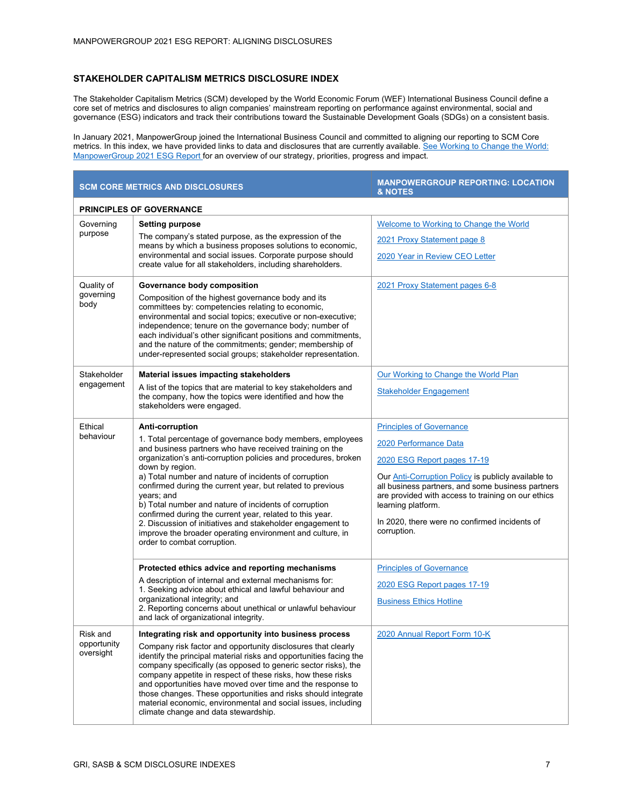## **STAKEHOLDER CAPITALISM METRICS DISCLOSURE INDEX**

The Stakeholder Capitalism Metrics (SCM) developed by the World Economic Forum (WEF) International Business Council define a core set of metrics and disclosures to align companies' mainstream reporting on performance against environmental, social and governance (ESG) indicators and track their contributions toward the Sustainable Development Goals (SDGs) on a consistent basis.

In January 2021, ManpowerGroup joined the International Business Council and committed to aligning our reporting to SCM Core metrics. In this index, we have provided links to data and disclosures that are currently available. See Working to Change the World: [ManpowerGroup 2021 ESG Report f](https://library.manpowergroup.eu/story/working-to-change-the-world-2021/page/1)or an overview of our strategy, priorities, progress and impact.

| <b>SCM CORE METRICS AND DISCLOSURES</b> |                                                                                                                                                                                                                                                                                                                                                | <b>MANPOWERGROUP REPORTING: LOCATION</b><br>& NOTES                                                             |  |
|-----------------------------------------|------------------------------------------------------------------------------------------------------------------------------------------------------------------------------------------------------------------------------------------------------------------------------------------------------------------------------------------------|-----------------------------------------------------------------------------------------------------------------|--|
| <b>PRINCIPLES OF GOVERNANCE</b>         |                                                                                                                                                                                                                                                                                                                                                |                                                                                                                 |  |
| Governing<br>purpose                    | Setting purpose<br>The company's stated purpose, as the expression of the<br>means by which a business proposes solutions to economic,<br>environmental and social issues. Corporate purpose should<br>create value for all stakeholders, including shareholders.                                                                              | Welcome to Working to Change the World                                                                          |  |
|                                         |                                                                                                                                                                                                                                                                                                                                                | 2021 Proxy Statement page 8                                                                                     |  |
|                                         |                                                                                                                                                                                                                                                                                                                                                | 2020 Year in Review CEO Letter                                                                                  |  |
| Quality of                              | Governance body composition                                                                                                                                                                                                                                                                                                                    | 2021 Proxy Statement pages 6-8                                                                                  |  |
| governing<br>body                       | Composition of the highest governance body and its<br>committees by: competencies relating to economic,                                                                                                                                                                                                                                        |                                                                                                                 |  |
|                                         | environmental and social topics; executive or non-executive;<br>independence; tenure on the governance body; number of                                                                                                                                                                                                                         |                                                                                                                 |  |
|                                         | each individual's other significant positions and commitments,<br>and the nature of the commitments; gender; membership of                                                                                                                                                                                                                     |                                                                                                                 |  |
|                                         | under-represented social groups; stakeholder representation.                                                                                                                                                                                                                                                                                   |                                                                                                                 |  |
| Stakeholder                             | Material issues impacting stakeholders                                                                                                                                                                                                                                                                                                         | Our Working to Change the World Plan                                                                            |  |
| engagement                              | A list of the topics that are material to key stakeholders and<br>the company, how the topics were identified and how the                                                                                                                                                                                                                      | <b>Stakeholder Engagement</b>                                                                                   |  |
|                                         | stakeholders were engaged.                                                                                                                                                                                                                                                                                                                     |                                                                                                                 |  |
| Fthical                                 | Anti-corruption                                                                                                                                                                                                                                                                                                                                | <b>Principles of Governance</b>                                                                                 |  |
| behaviour                               | 1. Total percentage of governance body members, employees<br>and business partners who have received training on the<br>organization's anti-corruption policies and procedures, broken<br>down by region.<br>a) Total number and nature of incidents of corruption<br>confirmed during the current year, but related to previous<br>years; and | 2020 Performance Data                                                                                           |  |
|                                         |                                                                                                                                                                                                                                                                                                                                                | 2020 ESG Report pages 17-19                                                                                     |  |
|                                         |                                                                                                                                                                                                                                                                                                                                                | Our <b>Anti-Corruption Policy</b> is publicly available to<br>all business partners, and some business partners |  |
|                                         |                                                                                                                                                                                                                                                                                                                                                | are provided with access to training on our ethics                                                              |  |
|                                         | b) Total number and nature of incidents of corruption<br>confirmed during the current year, related to this year.                                                                                                                                                                                                                              | learning platform.<br>In 2020, there were no confirmed incidents of                                             |  |
|                                         | 2. Discussion of initiatives and stakeholder engagement to<br>improve the broader operating environment and culture, in                                                                                                                                                                                                                        | corruption.                                                                                                     |  |
|                                         | order to combat corruption.                                                                                                                                                                                                                                                                                                                    |                                                                                                                 |  |
|                                         | Protected ethics advice and reporting mechanisms                                                                                                                                                                                                                                                                                               | <b>Principles of Governance</b>                                                                                 |  |
|                                         | A description of internal and external mechanisms for:<br>1. Seeking advice about ethical and lawful behaviour and<br>organizational integrity; and<br>2. Reporting concerns about unethical or unlawful behaviour                                                                                                                             | 2020 ESG Report pages 17-19                                                                                     |  |
|                                         |                                                                                                                                                                                                                                                                                                                                                | <b>Business Ethics Hotline</b>                                                                                  |  |
|                                         | and lack of organizational integrity.                                                                                                                                                                                                                                                                                                          |                                                                                                                 |  |
| Risk and                                | Integrating risk and opportunity into business process                                                                                                                                                                                                                                                                                         | 2020 Annual Report Form 10-K                                                                                    |  |
| opportunity<br>oversight                | Company risk factor and opportunity disclosures that clearly<br>identify the principal material risks and opportunities facing the<br>company specifically (as opposed to generic sector risks), the<br>company appetite in respect of these risks, how these risks                                                                            |                                                                                                                 |  |
|                                         | and opportunities have moved over time and the response to<br>those changes. These opportunities and risks should integrate<br>material economic, environmental and social issues, including<br>climate change and data stewardship.                                                                                                           |                                                                                                                 |  |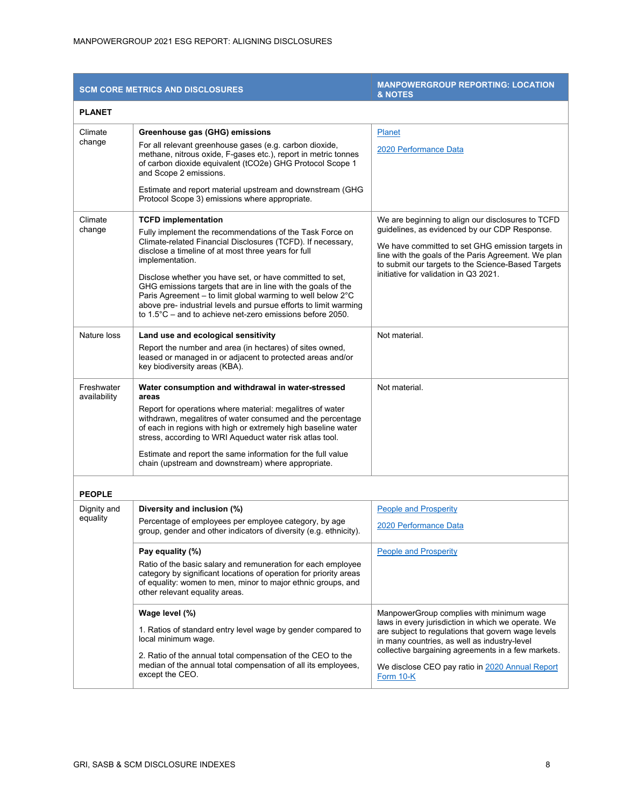| <b>SCM CORE METRICS AND DISCLOSURES</b> |                                                                                                                                                                                                                                                                                                                                                                                                                                                                                                                                                                       | <b>MANPOWERGROUP REPORTING: LOCATION</b><br><b>&amp; NOTES</b>                                                                                                                                                                                                                                                             |  |
|-----------------------------------------|-----------------------------------------------------------------------------------------------------------------------------------------------------------------------------------------------------------------------------------------------------------------------------------------------------------------------------------------------------------------------------------------------------------------------------------------------------------------------------------------------------------------------------------------------------------------------|----------------------------------------------------------------------------------------------------------------------------------------------------------------------------------------------------------------------------------------------------------------------------------------------------------------------------|--|
| <b>PLANET</b>                           |                                                                                                                                                                                                                                                                                                                                                                                                                                                                                                                                                                       |                                                                                                                                                                                                                                                                                                                            |  |
| Climate<br>change                       | Greenhouse gas (GHG) emissions<br>For all relevant greenhouse gases (e.g. carbon dioxide,<br>methane, nitrous oxide, F-gases etc.), report in metric tonnes<br>of carbon dioxide equivalent (tCO2e) GHG Protocol Scope 1<br>and Scope 2 emissions.<br>Estimate and report material upstream and downstream (GHG<br>Protocol Scope 3) emissions where appropriate.                                                                                                                                                                                                     | <b>Planet</b><br>2020 Performance Data                                                                                                                                                                                                                                                                                     |  |
| Climate<br>change                       | <b>TCFD implementation</b><br>Fully implement the recommendations of the Task Force on<br>Climate-related Financial Disclosures (TCFD). If necessary,<br>disclose a timeline of at most three years for full<br>implementation.<br>Disclose whether you have set, or have committed to set,<br>GHG emissions targets that are in line with the goals of the<br>Paris Agreement - to limit global warming to well below 2°C<br>above pre- industrial levels and pursue efforts to limit warming<br>to $1.5^{\circ}$ C – and to achieve net-zero emissions before 2050. | We are beginning to align our disclosures to TCFD<br>guidelines, as evidenced by our CDP Response.<br>We have committed to set GHG emission targets in<br>line with the goals of the Paris Agreement. We plan<br>to submit our targets to the Science-Based Targets<br>initiative for validation in Q3 2021.               |  |
| Nature loss                             | Land use and ecological sensitivity<br>Report the number and area (in hectares) of sites owned,<br>leased or managed in or adjacent to protected areas and/or<br>key biodiversity areas (KBA).                                                                                                                                                                                                                                                                                                                                                                        | Not material.                                                                                                                                                                                                                                                                                                              |  |
| Freshwater<br>availability              | Water consumption and withdrawal in water-stressed<br>areas<br>Report for operations where material: megalitres of water<br>withdrawn, megalitres of water consumed and the percentage<br>of each in regions with high or extremely high baseline water<br>stress, according to WRI Aqueduct water risk atlas tool.<br>Estimate and report the same information for the full value<br>chain (upstream and downstream) where appropriate.                                                                                                                              | Not material.                                                                                                                                                                                                                                                                                                              |  |
| <b>PEOPLE</b>                           |                                                                                                                                                                                                                                                                                                                                                                                                                                                                                                                                                                       |                                                                                                                                                                                                                                                                                                                            |  |
| Dignity and<br>equality                 | Diversity and inclusion (%)<br>Percentage of employees per employee category, by age<br>group, gender and other indicators of diversity (e.g. ethnicity).<br>Pay equality (%)<br>Ratio of the basic salary and remuneration for each employee                                                                                                                                                                                                                                                                                                                         | <b>People and Prosperity</b><br>2020 Performance Data<br><b>People and Prosperity</b>                                                                                                                                                                                                                                      |  |
|                                         | category by significant locations of operation for priority areas<br>of equality: women to men, minor to major ethnic groups, and<br>other relevant equality areas.                                                                                                                                                                                                                                                                                                                                                                                                   |                                                                                                                                                                                                                                                                                                                            |  |
|                                         | Wage level (%)<br>1. Ratios of standard entry level wage by gender compared to<br>local minimum wage.<br>2. Ratio of the annual total compensation of the CEO to the<br>median of the annual total compensation of all its employees,<br>except the CEO.                                                                                                                                                                                                                                                                                                              | ManpowerGroup complies with minimum wage<br>laws in every jurisdiction in which we operate. We<br>are subject to regulations that govern wage levels<br>in many countries, as well as industry-level<br>collective bargaining agreements in a few markets.<br>We disclose CEO pay ratio in 2020 Annual Report<br>Form 10-K |  |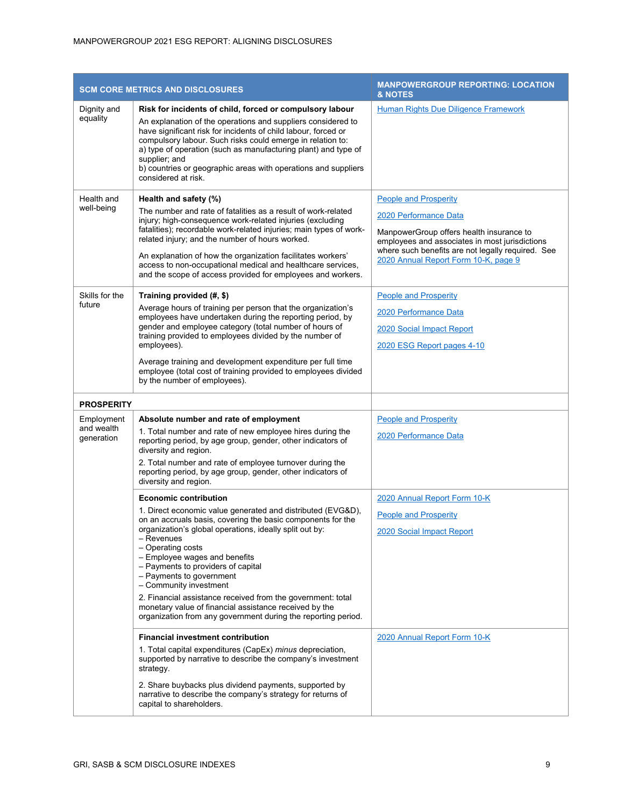| <b>SCM CORE METRICS AND DISCLOSURES</b> |                                                                                                                                                                                                                                                                                                                                                                                                                                                                                                                                                                                                                                                                                                                                                                      | <b>MANPOWERGROUP REPORTING: LOCATION</b><br>& NOTES                                                                                                                                                                                              |
|-----------------------------------------|----------------------------------------------------------------------------------------------------------------------------------------------------------------------------------------------------------------------------------------------------------------------------------------------------------------------------------------------------------------------------------------------------------------------------------------------------------------------------------------------------------------------------------------------------------------------------------------------------------------------------------------------------------------------------------------------------------------------------------------------------------------------|--------------------------------------------------------------------------------------------------------------------------------------------------------------------------------------------------------------------------------------------------|
| Dignity and<br>equality                 | Risk for incidents of child, forced or compulsory labour<br>An explanation of the operations and suppliers considered to<br>have significant risk for incidents of child labour, forced or<br>compulsory labour. Such risks could emerge in relation to:<br>a) type of operation (such as manufacturing plant) and type of<br>supplier; and<br>b) countries or geographic areas with operations and suppliers<br>considered at risk.                                                                                                                                                                                                                                                                                                                                 | <b>Human Rights Due Diligence Framework</b>                                                                                                                                                                                                      |
| Health and<br>well-being                | Health and safety (%)<br>The number and rate of fatalities as a result of work-related<br>injury; high-consequence work-related injuries (excluding<br>fatalities); recordable work-related injuries; main types of work-<br>related injury; and the number of hours worked.<br>An explanation of how the organization facilitates workers'<br>access to non-occupational medical and healthcare services,<br>and the scope of access provided for employees and workers.                                                                                                                                                                                                                                                                                            | <b>People and Prosperity</b><br>2020 Performance Data<br>ManpowerGroup offers health insurance to<br>employees and associates in most jurisdictions<br>where such benefits are not legally required. See<br>2020 Annual Report Form 10-K, page 9 |
| Skills for the<br>future                | Training provided (#, \$)<br>Average hours of training per person that the organization's<br>employees have undertaken during the reporting period, by<br>gender and employee category (total number of hours of<br>training provided to employees divided by the number of<br>employees).<br>Average training and development expenditure per full time<br>employee (total cost of training provided to employees divided<br>by the number of employees).                                                                                                                                                                                                                                                                                                           | <b>People and Prosperity</b><br>2020 Performance Data<br>2020 Social Impact Report<br>2020 ESG Report pages 4-10                                                                                                                                 |
| <b>PROSPERITY</b>                       |                                                                                                                                                                                                                                                                                                                                                                                                                                                                                                                                                                                                                                                                                                                                                                      |                                                                                                                                                                                                                                                  |
| Employment<br>and wealth<br>generation  | Absolute number and rate of employment<br>1. Total number and rate of new employee hires during the<br>reporting period, by age group, gender, other indicators of<br>diversity and region.<br>2. Total number and rate of employee turnover during the<br>reporting period, by age group, gender, other indicators of<br>diversity and region.                                                                                                                                                                                                                                                                                                                                                                                                                      | <b>People and Prosperity</b><br>2020 Performance Data                                                                                                                                                                                            |
|                                         | <b>Economic contribution</b><br>1. Direct economic value generated and distributed (EVG&D),<br>on an accruals basis, covering the basic components for the<br>organization's global operations, ideally split out by:<br>- Revenues<br>- Operating costs<br>- Employee wages and benefits<br>- Payments to providers of capital<br>- Payments to government<br>- Community investment<br>2. Financial assistance received from the government: total<br>monetary value of financial assistance received by the<br>organization from any government during the reporting period.<br><b>Financial investment contribution</b><br>1. Total capital expenditures (CapEx) minus depreciation,<br>supported by narrative to describe the company's investment<br>strategy. | 2020 Annual Report Form 10-K<br><b>People and Prosperity</b><br>2020 Social Impact Report<br>2020 Annual Report Form 10-K                                                                                                                        |
|                                         | 2. Share buybacks plus dividend payments, supported by<br>narrative to describe the company's strategy for returns of<br>capital to shareholders.                                                                                                                                                                                                                                                                                                                                                                                                                                                                                                                                                                                                                    |                                                                                                                                                                                                                                                  |